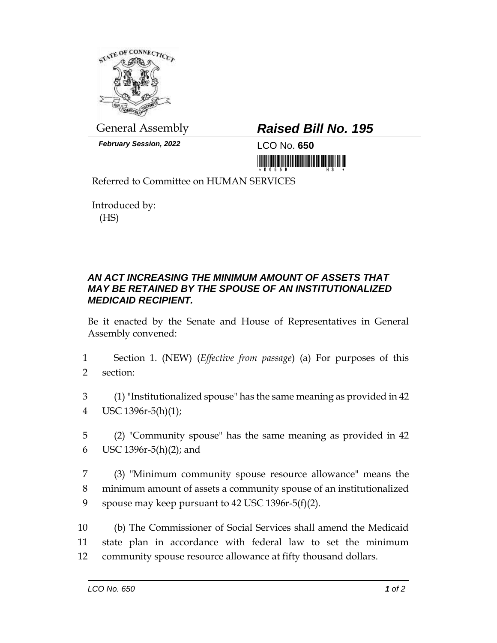

*February Session, 2022* LCO No. **650**

## General Assembly *Raised Bill No. 195*

<u>Tin yıllarının olunu olunu yapımı</u>

Referred to Committee on HUMAN SERVICES

Introduced by: (HS)

## *AN ACT INCREASING THE MINIMUM AMOUNT OF ASSETS THAT MAY BE RETAINED BY THE SPOUSE OF AN INSTITUTIONALIZED MEDICAID RECIPIENT.*

Be it enacted by the Senate and House of Representatives in General Assembly convened:

- 1 Section 1. (NEW) (*Effective from passage*) (a) For purposes of this 2 section:
- 3 (1) "Institutionalized spouse" has the same meaning as provided in 42 4 USC 1396r-5(h)(1);
- 5 (2) "Community spouse" has the same meaning as provided in 42 6 USC 1396r-5(h)(2); and
- 7 (3) "Minimum community spouse resource allowance" means the 8 minimum amount of assets a community spouse of an institutionalized 9 spouse may keep pursuant to 42 USC 1396r-5(f)(2).

10 (b) The Commissioner of Social Services shall amend the Medicaid 11 state plan in accordance with federal law to set the minimum 12 community spouse resource allowance at fifty thousand dollars.